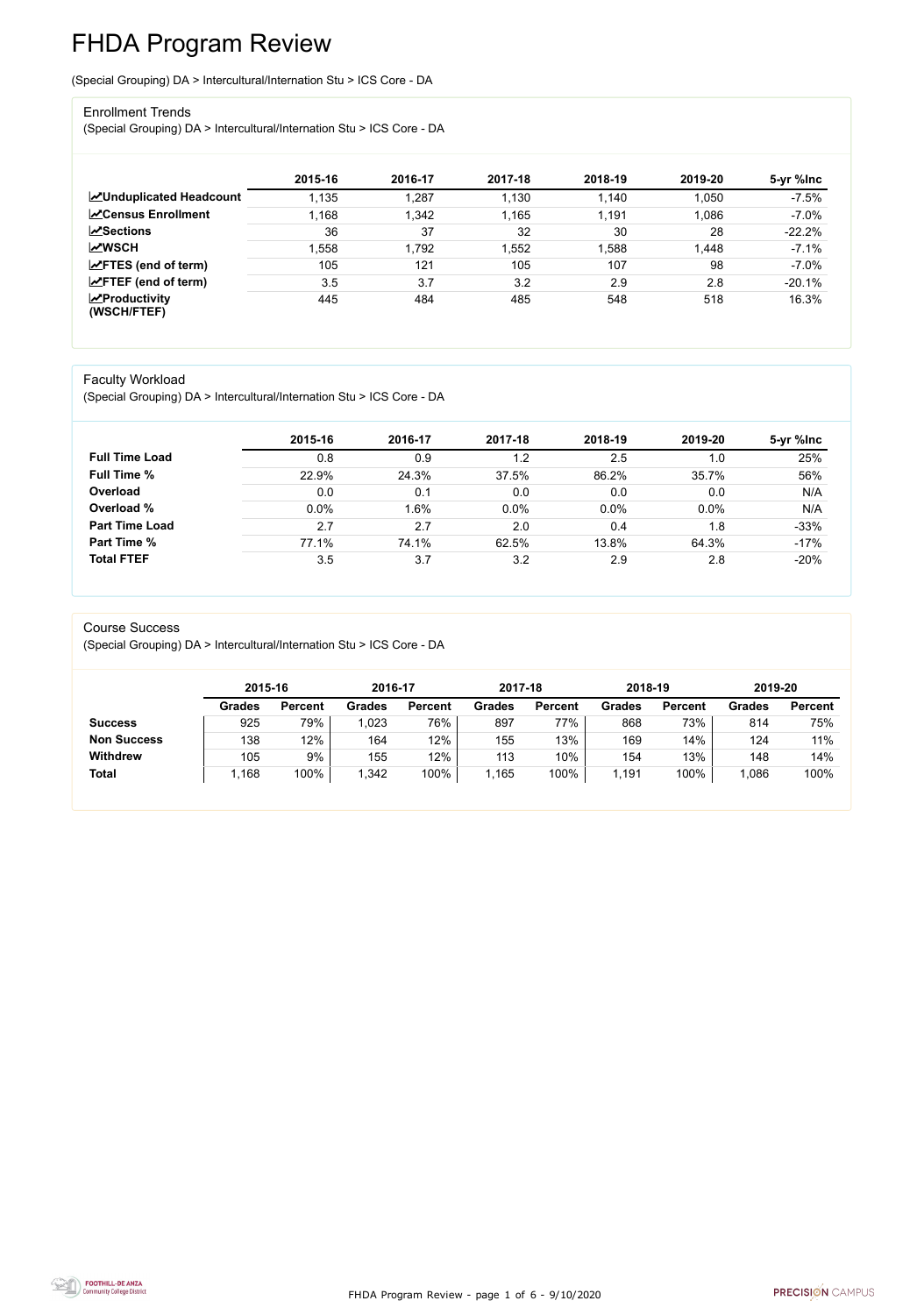FHDA Program Review - page 1 of 6 - 9/10/2020



# FHDA Program Review

(Special Grouping) DA > Intercultural/Internation Stu > ICS Core - DA

#### Enrollment Trends

(Special Grouping) DA > Intercultural/Internation Stu > ICS Core - DA

|                                          | 2015-16 | 2016-17 | 2017-18 | 2018-19 | 2019-20 | 5-yr %lnc |
|------------------------------------------|---------|---------|---------|---------|---------|-----------|
| <b>ZUnduplicated Headcount</b>           | 1,135   | 1,287   | 1,130   | 1,140   | 1,050   | $-7.5%$   |
| <b>∠</b> Census Enrollment               | 1,168   | 1,342   | 1,165   | 1,191   | 1,086   | $-7.0%$   |
| $\sqrt{S}$ ections                       | 36      | 37      | 32      | 30      | 28      | $-22.2%$  |
| <b>MWSCH</b>                             | .558    | 1,792   | ,552    | 1,588   | 1,448   | $-7.1%$   |
| $\angle$ FTES (end of term)              | 105     | 121     | 105     | 107     | 98      | $-7.0%$   |
| $\angle$ FTEF (end of term)              | 3.5     | 3.7     | 3.2     | 2.9     | 2.8     | $-20.1%$  |
| $\mathbf{Z}$ Productivity<br>(WSCH/FTEF) | 445     | 484     | 485     | 548     | 518     | 16.3%     |

#### Faculty Workload

(Special Grouping) DA > Intercultural/Internation Stu > ICS Core - DA

|                       | 2015-16 | 2016-17 | 2017-18 | 2018-19 | 2019-20 | 5-yr %lnc |
|-----------------------|---------|---------|---------|---------|---------|-----------|
| <b>Full Time Load</b> | 0.8     | 0.9     | 1.2     | 2.5     | 1.0     | 25%       |
| <b>Full Time %</b>    | 22.9%   | 24.3%   | 37.5%   | 86.2%   | 35.7%   | 56%       |
| Overload              | 0.0     | 0.1     | 0.0     | 0.0     | 0.0     | N/A       |
| Overload %            | 0.0%    | 1.6%    | 0.0%    | 0.0%    | 0.0%    | N/A       |
| <b>Part Time Load</b> | 2.7     | 2.7     | 2.0     | 0.4     | 1.8     | $-33%$    |
| Part Time %           | 77.1%   | 74.1%   | 62.5%   | 13.8%   | 64.3%   | $-17%$    |
| <b>Total FTEF</b>     | 3.5     | 3.7     | 3.2     | 2.9     | 2.8     | $-20%$    |

#### Course Success

(Special Grouping) DA > Intercultural/Internation Stu > ICS Core - DA

|                    | 2015-16       |                | 2016-17       |                | 2017-18       |                | 2018-19       |                | 2019-20       |                |
|--------------------|---------------|----------------|---------------|----------------|---------------|----------------|---------------|----------------|---------------|----------------|
|                    | <b>Grades</b> | <b>Percent</b> | <b>Grades</b> | <b>Percent</b> | <b>Grades</b> | <b>Percent</b> | <b>Grades</b> | <b>Percent</b> | <b>Grades</b> | <b>Percent</b> |
| <b>Success</b>     | 925           | 79%            | ,023          | 76%            | 897           | 77%            | 868           | 73%            | 814           | 75%            |
| <b>Non Success</b> | 138           | 12%            | 164           | 12%            | 155           | 13%            | 169           | 14%            | 124           | 11%            |
| <b>Withdrew</b>    | 105           | 9%             | 155           | 12%            | 113           | 10%            | 154           | 13%            | 148           | 14%            |
| <b>Total</b>       | ,168          | 100%           | 1,342         | 100%           | ,165          | 100%           | 1,191         | 100%           | 1,086         | 100%           |

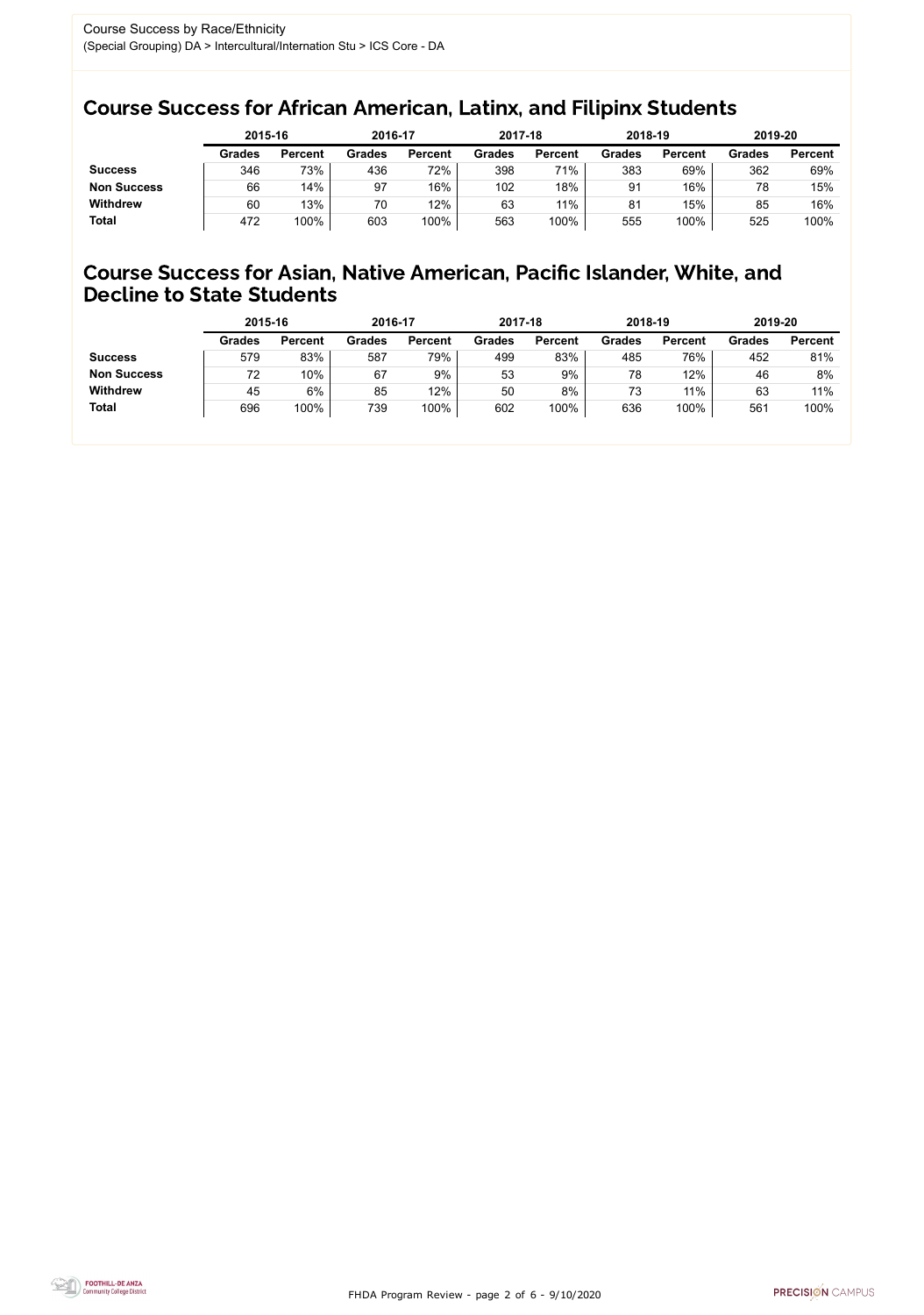FHDA Program Review - page 2 of 6 - 9/10/2020



### Course Success for African American, Latinx, and Filipinx Students

### Course Success for Asian, Native American, Pacific Islander, White, and Decline to State Students

|                    | 2015-16       |                | 2016-17       |                | 2017-18       |                | 2018-19       |                | 2019-20       |                |
|--------------------|---------------|----------------|---------------|----------------|---------------|----------------|---------------|----------------|---------------|----------------|
|                    | <b>Grades</b> | <b>Percent</b> | <b>Grades</b> | <b>Percent</b> | <b>Grades</b> | <b>Percent</b> | <b>Grades</b> | <b>Percent</b> | <b>Grades</b> | <b>Percent</b> |
| <b>Success</b>     | 346           | 73%            | 436           | 72%            | 398           | 71%            | 383           | 69%            | 362           | 69%            |
| <b>Non Success</b> | 66            | 14%            | 97            | 16%            | 102           | 18%            | 91            | 16%            | 78            | 15%            |
| <b>Withdrew</b>    | 60            | 13%            | 70            | 12%            | 63            | 11%            | 81            | 15%            | 85            | 16%            |
| <b>Total</b>       | 472           | 100%           | 603           | 100%           | 563           | 100%           | 555           | 100%           | 525           | 100%           |

|                    | 2015-16       |                | 2016-17       |                | 2017-18       |                | 2018-19       |                | 2019-20       |                |
|--------------------|---------------|----------------|---------------|----------------|---------------|----------------|---------------|----------------|---------------|----------------|
|                    | <b>Grades</b> | <b>Percent</b> | <b>Grades</b> | <b>Percent</b> | <b>Grades</b> | <b>Percent</b> | <b>Grades</b> | <b>Percent</b> | <b>Grades</b> | <b>Percent</b> |
| <b>Success</b>     | 579           | 83%            | 587           | 79%            | 499           | 83%            | 485           | 76%            | 452           | 81%            |
| <b>Non Success</b> | 72            | 10%            | 67            | 9%             | 53            | 9%             | 78            | 12%            | 46            | 8%             |
| <b>Withdrew</b>    | 45            | 6%             | 85            | 12%            | 50            | 8%             | 73            | 11%            | 63            | 11%            |
| <b>Total</b>       | 696           | 100%           | 739           | 100%           | 602           | 100%           | 636           | 100%           | 561           | 100%           |
|                    |               |                |               |                |               |                |               |                |               |                |

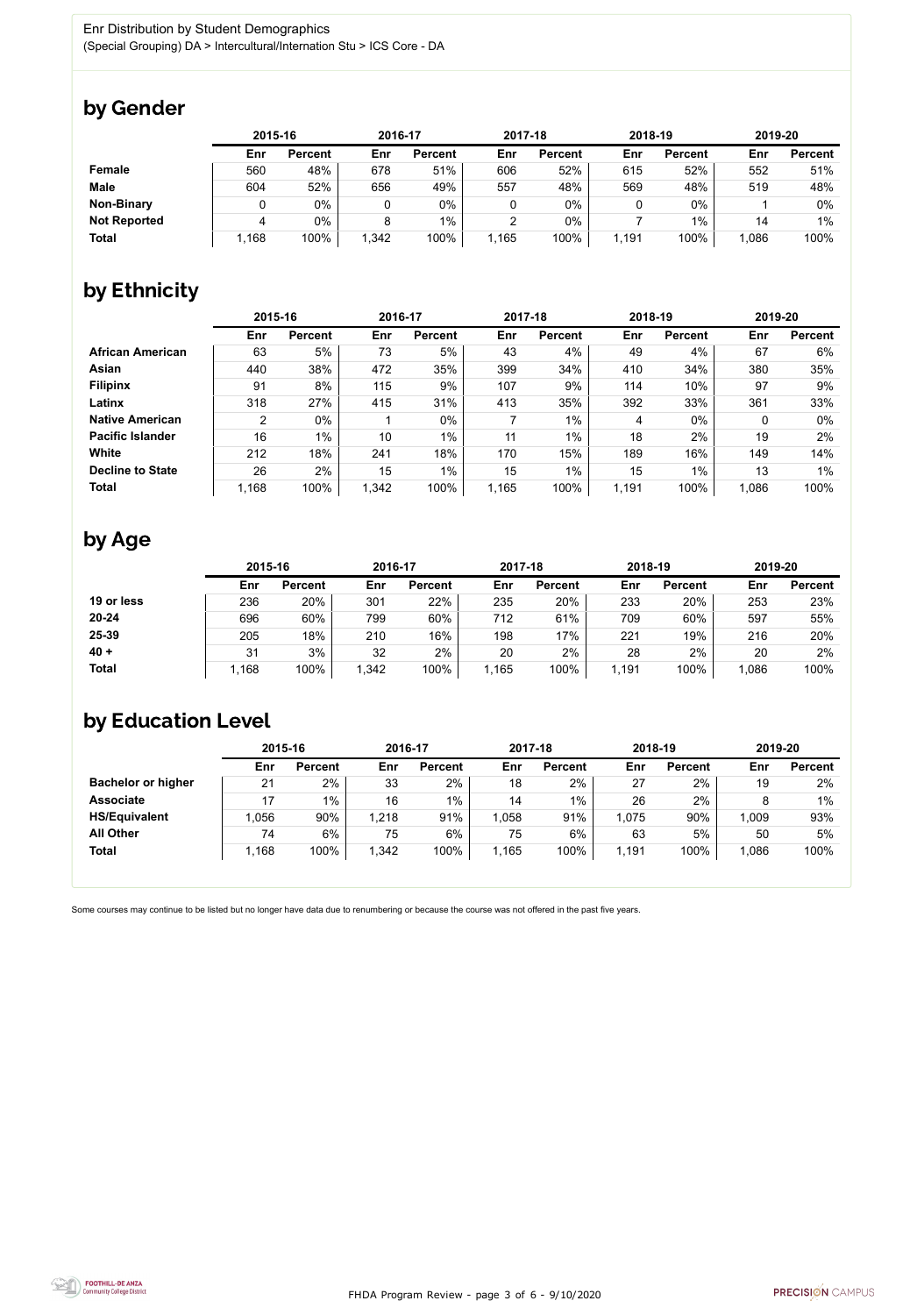FHDA Program Review - page 3 of 6 - 9/10/2020



Some courses may continue to be listed but no longer have data due to renumbering or because the course was not offered in the past five years.



## by Gender

|                     | 2015-16 |                |       | 2016-17        |       | 2017-18        | 2018-19 |                | 2019-20 |                |
|---------------------|---------|----------------|-------|----------------|-------|----------------|---------|----------------|---------|----------------|
|                     | Enr     | <b>Percent</b> | Enr   | <b>Percent</b> | Enr   | <b>Percent</b> | Enr     | <b>Percent</b> | Enr     | <b>Percent</b> |
| Female              | 560     | 48%            | 678   | 51%            | 606   | 52%            | 615     | 52%            | 552     | 51%            |
| <b>Male</b>         | 604     | 52%            | 656   | 49%            | 557   | 48%            | 569     | 48%            | 519     | 48%            |
| <b>Non-Binary</b>   |         | 0%             |       | $0\%$          | 0     | 0%             |         | $0\%$          |         | 0%             |
| <b>Not Reported</b> |         | 0%             |       | 1%             | っ     | 0%             |         | 1%             | 14      | 1%             |
| <b>Total</b>        | l,168   | 100%           | 1,342 | 100%           | 1,165 | 100%           | 1,191   | 100%           | 1,086   | 100%           |

## by Ethnicity

|                         |                | 2015-16        |       | 2016-17        |       | 2017-18        | 2018-19 |                | 2019-20 |                |
|-------------------------|----------------|----------------|-------|----------------|-------|----------------|---------|----------------|---------|----------------|
|                         | Enr            | <b>Percent</b> | Enr   | <b>Percent</b> | Enr   | <b>Percent</b> | Enr     | <b>Percent</b> | Enr     | <b>Percent</b> |
| <b>African American</b> | 63             | 5%             | 73    | 5%             | 43    | 4%             | 49      | 4%             | 67      | 6%             |
| <b>Asian</b>            | 440            | 38%            | 472   | 35%            | 399   | 34%            | 410     | 34%            | 380     | 35%            |
| <b>Filipinx</b>         | 91             | 8%             | 115   | 9%             | 107   | 9%             | 114     | 10%            | 97      | 9%             |
| Latinx                  | 318            | 27%            | 415   | 31%            | 413   | 35%            | 392     | 33%            | 361     | 33%            |
| <b>Native American</b>  | $\overline{2}$ | $0\%$          |       | $0\%$          |       | $1\%$          | 4       | $0\%$          | 0       | $0\%$          |
| <b>Pacific Islander</b> | 16             | $1\%$          | 10    | $1\%$          | 11    | $1\%$          | 18      | 2%             | 19      | 2%             |
| White                   | 212            | 18%            | 241   | 18%            | 170   | 15%            | 189     | 16%            | 149     | 14%            |
| <b>Decline to State</b> | 26             | 2%             | 15    | $1\%$          | 15    | $1\%$          | 15      | $1\%$          | 13      | $1\%$          |
| <b>Total</b>            | 1,168          | 100%           | 1,342 | 100%           | 1,165 | 100%           | 1,191   | 100%           | 1,086   | 100%           |

## by Age

|              | 2015-16 |                | 2016-17 |                | 2017-18 |                | 2018-19 |                | 2019-20 |                |
|--------------|---------|----------------|---------|----------------|---------|----------------|---------|----------------|---------|----------------|
|              | Enr     | <b>Percent</b> | Enr     | <b>Percent</b> | Enr     | <b>Percent</b> | Enr     | <b>Percent</b> | Enr     | <b>Percent</b> |
| 19 or less   | 236     | 20%            | 301     | 22%            | 235     | 20%            | 233     | 20%            | 253     | 23%            |
| $20 - 24$    | 696     | 60%            | 799     | 60%            | 712     | 61%            | 709     | 60%            | 597     | 55%            |
| 25-39        | 205     | 18%            | 210     | 16%            | 198     | 17%            | 221     | 19%            | 216     | 20%            |
| $40 +$       | 31      | 3%             | 32      | $2\%$          | 20      | 2%             | 28      | 2%             | 20      | 2%             |
| <b>Total</b> | 1,168   | 100%           | 1,342   | 100%           | 1,165   | 100%           | 1,191   | 100%           | 1,086   | 100%           |

## by Education Level

|                           | 2015-16 |                |       | 2016-17        |       | 2017-18        | 2018-19 |                | 2019-20 |                |
|---------------------------|---------|----------------|-------|----------------|-------|----------------|---------|----------------|---------|----------------|
|                           | Enr     | <b>Percent</b> | Enr   | <b>Percent</b> | Enr   | <b>Percent</b> | Enr     | <b>Percent</b> | Enr     | <b>Percent</b> |
| <b>Bachelor or higher</b> | 21      | 2%             | 33    | 2%             | 18    | 2%             | 27      | 2%             | 19      | 2%             |
| <b>Associate</b>          | 17      | $1\%$          | 16    | $1\%$          | 14    | $1\%$          | 26      | 2%             |         | $1\%$          |
| <b>HS/Equivalent</b>      | 1,056   | 90%            | 1,218 | 91%            | 1,058 | 91%            | 1,075   | 90%            | 1,009   | 93%            |
| <b>All Other</b>          | 74      | 6%             | 75    | $6\%$          | 75    | 6%             | 63      | 5%             | 50      | 5%             |
| <b>Total</b>              | 1,168   | 100%           | 1,342 | 100%           | 1,165 | 100%           | 1,191   | 100%           | 1,086   | 100%           |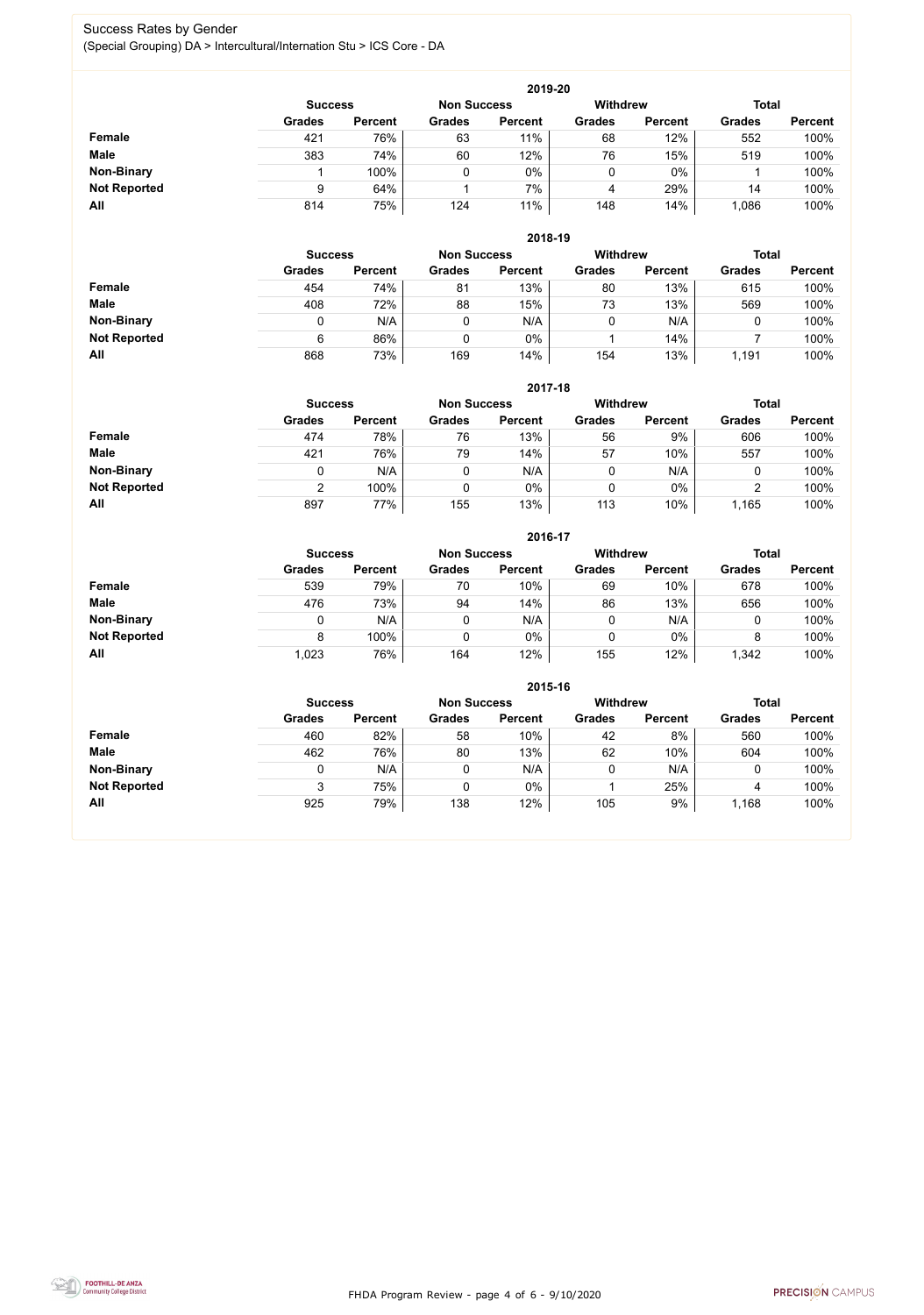FHDA Program Review - page 4 of 6 - 9/10/2020



#### Success Rates by Gender (Special Grouping) DA > Intercultural/Internation Stu > ICS Core - DA

|                     |                | 2019-20        |                    |                |                 |                |               |                |  |  |  |  |  |
|---------------------|----------------|----------------|--------------------|----------------|-----------------|----------------|---------------|----------------|--|--|--|--|--|
|                     | <b>Success</b> |                | <b>Non Success</b> |                | <b>Withdrew</b> |                | <b>Total</b>  |                |  |  |  |  |  |
|                     | <b>Grades</b>  | <b>Percent</b> | <b>Grades</b>      | <b>Percent</b> | <b>Grades</b>   | <b>Percent</b> | <b>Grades</b> | <b>Percent</b> |  |  |  |  |  |
| Female              | 421            | 76%            | 63                 | 11%            | 68              | 12%            | 552           | 100%           |  |  |  |  |  |
| <b>Male</b>         | 383            | 74%            | 60                 | 12%            | 76              | 15%            | 519           | 100%           |  |  |  |  |  |
| <b>Non-Binary</b>   |                | 100%           |                    | $0\%$          | 0               | $0\%$          |               | 100%           |  |  |  |  |  |
| <b>Not Reported</b> | 9              | 64%            |                    | 7%             | 4               | 29%            | 14            | 100%           |  |  |  |  |  |
| All                 | 814            | 75%            | 124                | 11%            | 148             | 14%            | ,086          | 100%           |  |  |  |  |  |

|                     | 2018-19       |                                      |               |                |               |                 |               |                |  |  |  |  |
|---------------------|---------------|--------------------------------------|---------------|----------------|---------------|-----------------|---------------|----------------|--|--|--|--|
|                     |               | <b>Non Success</b><br><b>Success</b> |               |                |               | <b>Withdrew</b> | <b>Total</b>  |                |  |  |  |  |
|                     | <b>Grades</b> | <b>Percent</b>                       | <b>Grades</b> | <b>Percent</b> | <b>Grades</b> | <b>Percent</b>  | <b>Grades</b> | <b>Percent</b> |  |  |  |  |
| Female              | 454           | 74%                                  | 81            | 13%            | 80            | 13%             | 615           | 100%           |  |  |  |  |
| <b>Male</b>         | 408           | 72%                                  | 88            | 15%            | 73            | 13%             | 569           | 100%           |  |  |  |  |
| <b>Non-Binary</b>   |               | N/A                                  | υ             | N/A            |               | N/A             |               | 100%           |  |  |  |  |
| <b>Not Reported</b> | 6             | 86%                                  | ν             | 0%             |               | 14%             |               | 100%           |  |  |  |  |
| All                 | 868           | 73%                                  | 169           | 14%            | 154           | 13%             | 1,191         | 100%           |  |  |  |  |

|                     |               | 2017-18                              |               |                |               |                |               |                |  |  |  |  |  |
|---------------------|---------------|--------------------------------------|---------------|----------------|---------------|----------------|---------------|----------------|--|--|--|--|--|
|                     |               | <b>Non Success</b><br><b>Success</b> |               |                |               |                | <b>Total</b>  |                |  |  |  |  |  |
|                     | <b>Grades</b> | <b>Percent</b>                       | <b>Grades</b> | <b>Percent</b> | <b>Grades</b> | <b>Percent</b> | <b>Grades</b> | <b>Percent</b> |  |  |  |  |  |
| <b>Female</b>       | 474           | 78%                                  | 76            | 13%            | 56            | 9%             | 606           | 100%           |  |  |  |  |  |
| <b>Male</b>         | 421           | 76%                                  | 79            | 14%            | 57            | 10%            | 557           | 100%           |  |  |  |  |  |
| <b>Non-Binary</b>   | 0             | N/A                                  |               | N/A            | 0             | N/A            | 0             | 100%           |  |  |  |  |  |
| <b>Not Reported</b> | ⌒             | 100%                                 |               | $0\%$          | 0             | $0\%$          | ົ<br>∠        | 100%           |  |  |  |  |  |
| All                 | 897           | 77%                                  | 155           | 13%            | 113           | 10%            | 1,165         | 100%           |  |  |  |  |  |

|                     |               | 2016-17                              |               |                |                 |                |               |                |  |  |
|---------------------|---------------|--------------------------------------|---------------|----------------|-----------------|----------------|---------------|----------------|--|--|
|                     |               | <b>Non Success</b><br><b>Success</b> |               |                | <b>Withdrew</b> |                | <b>Total</b>  |                |  |  |
|                     | <b>Grades</b> | <b>Percent</b>                       | <b>Grades</b> | <b>Percent</b> | <b>Grades</b>   | <b>Percent</b> | <b>Grades</b> | <b>Percent</b> |  |  |
| <b>Female</b>       | 539           | 79%                                  | 70            | 10%            | 69              | 10%            | 678           | 100%           |  |  |
| <b>Male</b>         | 476           | 73%                                  | 94            | 14%            | 86              | 13%            | 656           | 100%           |  |  |
| <b>Non-Binary</b>   | 0             | N/A                                  |               | N/A            | 0               | N/A            |               | 100%           |  |  |
| <b>Not Reported</b> | 8             | 100%                                 |               | 0%             | 0               | $0\%$          |               | 100%           |  |  |
| All                 | 1,023         | 76%                                  | 164           | 12%            | 155             | 12%            | 1,342         | 100%           |  |  |

|                     |                |                    |               | 2015-16         |               |                |               |                |
|---------------------|----------------|--------------------|---------------|-----------------|---------------|----------------|---------------|----------------|
|                     | <b>Success</b> | <b>Non Success</b> |               | <b>Withdrew</b> |               | <b>Total</b>   |               |                |
|                     | <b>Grades</b>  | <b>Percent</b>     | <b>Grades</b> | <b>Percent</b>  | <b>Grades</b> | <b>Percent</b> | <b>Grades</b> | <b>Percent</b> |
| Female              | 460            | 82%                | 58            | 10%             | 42            | 8%             | 560           | 100%           |
| <b>Male</b>         | 462            | 76%                | 80            | 13%             | 62            | 10%            | 604           | 100%           |
| <b>Non-Binary</b>   |                | N/A                | 0             | N/A             |               | N/A            |               | 100%           |
| <b>Not Reported</b> | 3              | 75%                | 0             | $0\%$           |               | 25%            | 4             | 100%           |
| All                 | 925            | 79%                | 138           | 12%             | 105           | 9%             | 1,168         | 100%           |

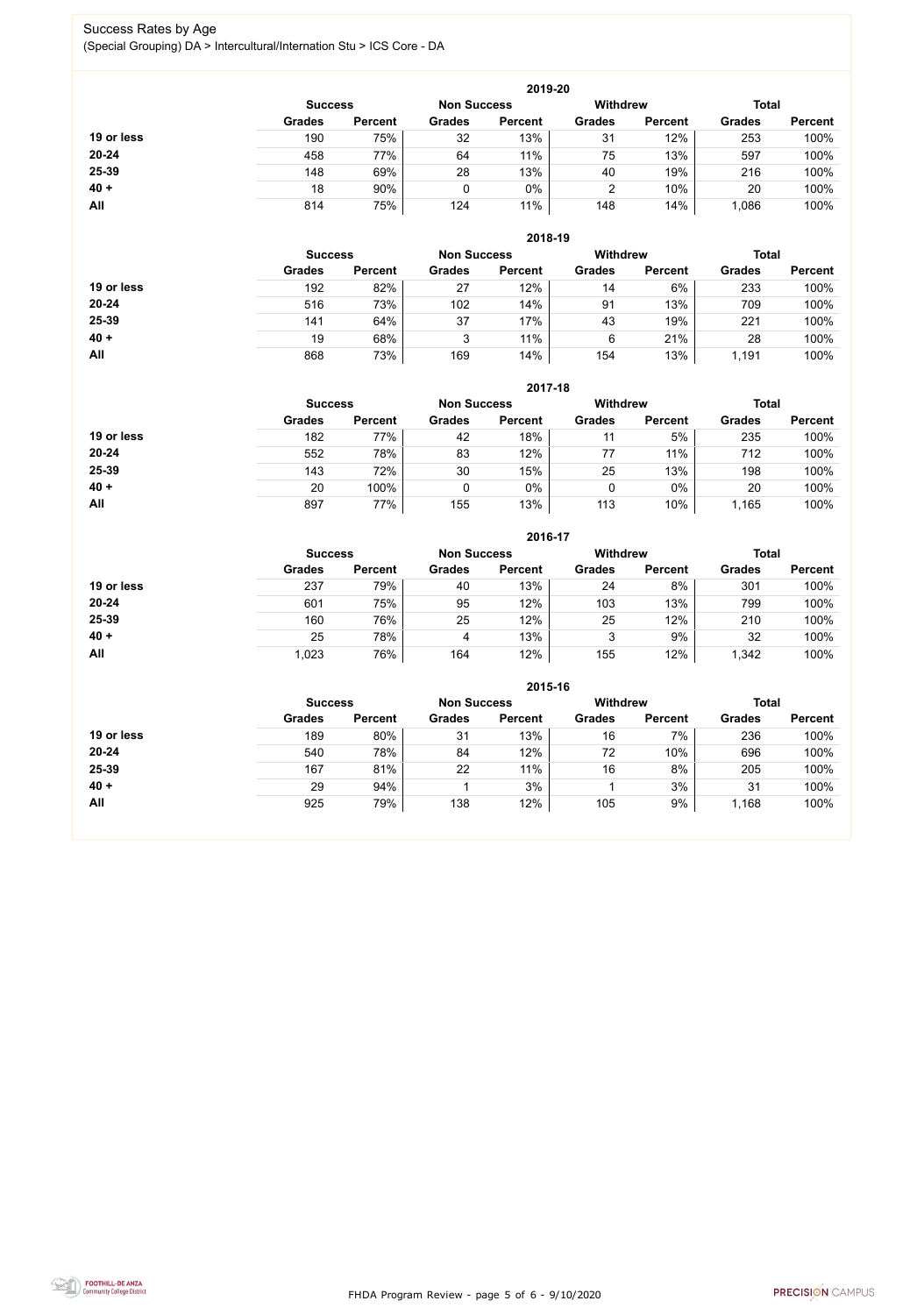FHDA Program Review - page 5 of 6 - 9/10/2020



#### Success Rates by Age (Special Grouping) DA > Intercultural/Internation Stu > ICS Core - DA

|            | 2019-20        |                |               |                    |               |                 |               |                |  |
|------------|----------------|----------------|---------------|--------------------|---------------|-----------------|---------------|----------------|--|
|            | <b>Success</b> |                |               | <b>Non Success</b> |               | <b>Withdrew</b> | <b>Total</b>  |                |  |
|            | <b>Grades</b>  | <b>Percent</b> | <b>Grades</b> | <b>Percent</b>     | <b>Grades</b> | <b>Percent</b>  | <b>Grades</b> | <b>Percent</b> |  |
| 19 or less | 190            | 75%            | 32            | 13%                | 31            | 12%             | 253           | 100%           |  |
| $20 - 24$  | 458            | 77%            | 64            | 11%                | 75            | 13%             | 597           | 100%           |  |
| 25-39      | 148            | 69%            | 28            | 13%                | 40            | 19%             | 216           | 100%           |  |
| $40 +$     | 18             | 90%            |               | 0%                 |               | 10%             | 20            | 100%           |  |
| <b>All</b> | 814            | 75%            | 124           | 11%                | 148           | 14%             | 0.086         | 100%           |  |

|            | 2018-19        |                    |               |                 |               |                |               |                |  |
|------------|----------------|--------------------|---------------|-----------------|---------------|----------------|---------------|----------------|--|
|            | <b>Success</b> | <b>Non Success</b> |               | <b>Withdrew</b> |               | <b>Total</b>   |               |                |  |
|            | <b>Grades</b>  | <b>Percent</b>     | <b>Grades</b> | <b>Percent</b>  | <b>Grades</b> | <b>Percent</b> | <b>Grades</b> | <b>Percent</b> |  |
| 19 or less | 192            | 82%                | 27            | 12%             | 14            | 6%             | 233           | 100%           |  |
| $20 - 24$  | 516            | 73%                | 102           | 14%             | 91            | 13%            | 709           | 100%           |  |
| 25-39      | 141            | 64%                | 37            | 17%             | 43            | 19%            | 221           | 100%           |  |
| $40 +$     | 19             | 68%                | 2<br>J        | 11%             | 6             | 21%            | 28            | 100%           |  |
| All        | 868            | 73%                | 169           | 14%             | 154           | 13%            | 1,191         | 100%           |  |

|            | 2017-18        |                    |               |                 |               |                |               |                |  |  |
|------------|----------------|--------------------|---------------|-----------------|---------------|----------------|---------------|----------------|--|--|
|            | <b>Success</b> | <b>Non Success</b> |               | <b>Withdrew</b> |               | <b>Total</b>   |               |                |  |  |
|            | <b>Grades</b>  | <b>Percent</b>     | <b>Grades</b> | <b>Percent</b>  | <b>Grades</b> | <b>Percent</b> | <b>Grades</b> | <b>Percent</b> |  |  |
| 19 or less | 182            | 77%                | 42            | 18%             | 11            | 5%             | 235           | 100%           |  |  |
| $20 - 24$  | 552            | 78%                | 83            | 12%             |               | 11%            | 712           | 100%           |  |  |
| 25-39      | 143            | 72%                | 30            | 15%             | 25            | 13%            | 198           | 100%           |  |  |
| $40 +$     | 20             | 100%               |               | 0%              | 0             | $0\%$          | 20            | 100%           |  |  |
| All        | 897            | 77%                | 155           | 13%             | 113           | 10%            | 1,165         | 100%           |  |  |

|            |                |                    |               | 2016-17         |               |                |               |                |
|------------|----------------|--------------------|---------------|-----------------|---------------|----------------|---------------|----------------|
|            | <b>Success</b> | <b>Non Success</b> |               | <b>Withdrew</b> |               | <b>Total</b>   |               |                |
|            | <b>Grades</b>  | <b>Percent</b>     | <b>Grades</b> | <b>Percent</b>  | <b>Grades</b> | <b>Percent</b> | <b>Grades</b> | <b>Percent</b> |
| 19 or less | 237            | 79%                | 40            | 13%             | 24            | 8%             | 301           | 100%           |
| $20 - 24$  | 601            | 75%                | 95            | 12%             | 103           | 13%            | 799           | 100%           |
| 25-39      | 160            | 76%                | 25            | 12%             | 25            | 12%            | 210           | 100%           |
| $40 +$     | 25             | 78%                | 4             | 13%             | 3             | 9%             | 32            | 100%           |
| All        | 1,023          | 76%                | 164           | 12%             | 155           | 12%            | 1,342         | 100%           |

|            | 2015-16                              |                |               |                |                 |                |               |                |  |
|------------|--------------------------------------|----------------|---------------|----------------|-----------------|----------------|---------------|----------------|--|
|            | <b>Non Success</b><br><b>Success</b> |                |               |                | <b>Withdrew</b> |                | <b>Total</b>  |                |  |
|            | <b>Grades</b>                        | <b>Percent</b> | <b>Grades</b> | <b>Percent</b> | <b>Grades</b>   | <b>Percent</b> | <b>Grades</b> | <b>Percent</b> |  |
| 19 or less | 189                                  | 80%            | 31            | 13%            | 16              | 7%             | 236           | 100%           |  |
| 20-24      | 540                                  | 78%            | 84            | 12%            | 72              | 10%            | 696           | 100%           |  |
| 25-39      | 167                                  | 81%            | 22            | 11%            | 16              | 8%             | 205           | 100%           |  |
| $40 +$     | 29                                   | 94%            |               | 3%             |                 | 3%             | 31            | 100%           |  |
| All        | 925                                  | 79%            | 138           | 12%            | 105             | 9%             | 1,168         | 100%           |  |